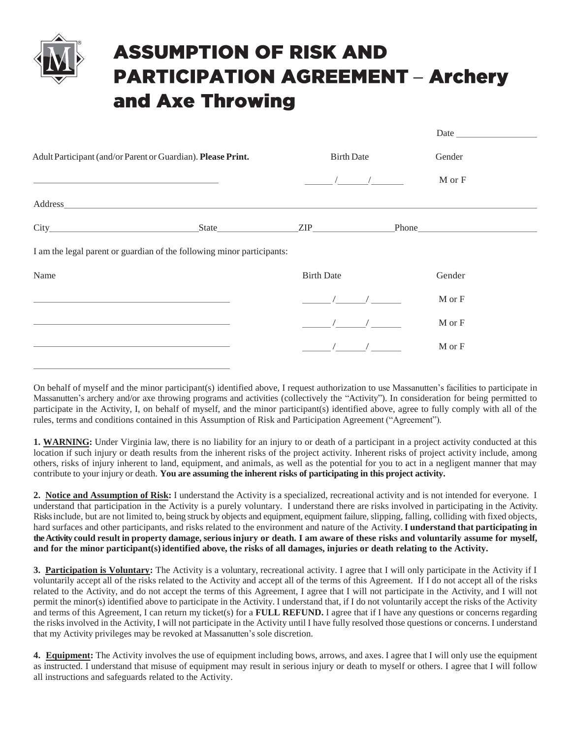

## **ASSUMPTION OF RISK AND PARTICIPATION AGREEMENT - Archery** and Axe Throwing

|                                                                        |                                            | Date   |
|------------------------------------------------------------------------|--------------------------------------------|--------|
| Adult Participant (and/or Parent or Guardian). Please Print.           | <b>Birth Date</b>                          | Gender |
|                                                                        | $\sqrt{2}$                                 | M or F |
|                                                                        |                                            |        |
|                                                                        | State <b>EXECUTE: EXECUTE: Phone Phone</b> |        |
| I am the legal parent or guardian of the following minor participants: |                                            |        |
| Name                                                                   | <b>Birth Date</b>                          | Gender |
| <u> 1989 - Johann Stoff, amerikansk politiker (* 1908)</u>             |                                            | M or F |
|                                                                        |                                            | M or F |
|                                                                        |                                            | M or F |

On behalf of myself and the minor participant(s) identified above, I request authorization to use Massanutten's facilities to participate in Massanutten's archery and/or axe throwing programs and activities (collectively the "Activity"). In consideration for being permitted to participate in the Activity, I, on behalf of myself, and the minor participant(s) identified above, agree to fully comply with all of the rules, terms and conditions contained in this Assumption of Risk and Participation Agreement ("Agreement").

**1. WARNING:** Under Virginia law, there is no liability for an injury to or death of a participant in a project activity conducted at this location if such injury or death results from the inherent risks of the project activity. Inherent risks of project activity include, among others, risks of injury inherent to land, equipment, and animals, as well as the potential for you to act in a negligent manner that may contribute to your injury or death. **You are assuming the inherent risks of participating in this project activity.**

**2. Notice and Assumption of Risk:** I understand the Activity is a specialized, recreational activity and is not intended for everyone. I understand that participation in the Activity is a purely voluntary. I understand there are risks involved in participating in the Activity. Risks include, but are not limited to, being struck by objects and equipment, equipment failure, slipping, falling, colliding with fixed objects, hard surfaces and other participants, and risks related to the environment and nature of the Activity. **I understand that participating in the Activity could result in property damage, seriousinjury or death. I am aware of these risks and voluntarily assume for myself, and for the minor participant(s)identified above, the risks of all damages, injuries or death relating to the Activity.**

**3. Participation is Voluntary:** The Activity is a voluntary, recreational activity. I agree that I will only participate in the Activity if I voluntarily accept all of the risks related to the Activity and accept all of the terms of this Agreement. If I do not accept all of the risks related to the Activity, and do not accept the terms of this Agreement, I agree that I will not participate in the Activity, and I will not permit the minor(s) identified above to participate in the Activity. I understand that, if I do not voluntarily accept the risks of the Activity and terms of this Agreement, I can return my ticket(s) for a **FULL REFUND.** I agree that if I have any questions or concerns regarding the risks involved in the Activity, I will not participate in the Activity until I have fully resolved those questions or concerns. I understand that my Activity privileges may be revoked at Massanutten's sole discretion.

**4. Equipment:** The Activity involves the use of equipment including bows, arrows, and axes. I agree that I will only use the equipment as instructed. I understand that misuse of equipment may result in serious injury or death to myself or others. I agree that I will follow all instructions and safeguards related to the Activity.